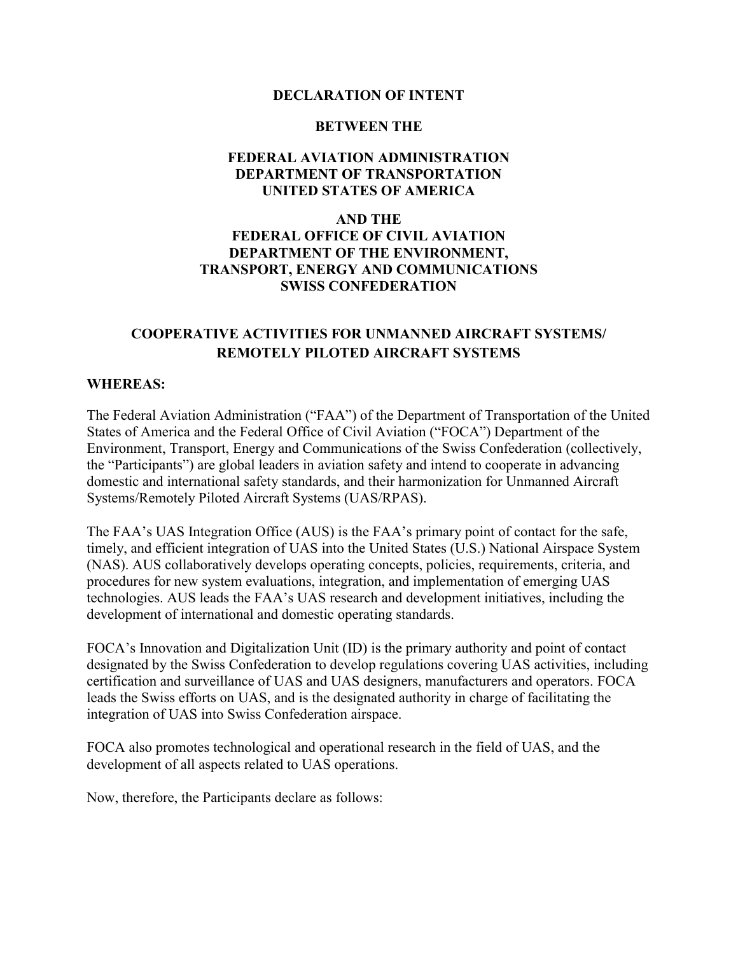#### **DECLARATION OF INTENT**

#### **BETWEEN THE**

#### **FEDERAL AVIATION ADMINISTRATION DEPARTMENT OF TRANSPORTATION UNITED STATES OF AMERICA**

#### **AND THE FEDERAL OFFICE OF CIVIL AVIATION DEPARTMENT OF THE ENVIRONMENT, TRANSPORT, ENERGY AND COMMUNICATIONS SWISS CONFEDERATION**

#### **COOPERATIVE ACTIVITIES FOR UNMANNED AIRCRAFT SYSTEMS/ REMOTELY PILOTED AIRCRAFT SYSTEMS**

#### **WHEREAS:**

The Federal Aviation Administration ("FAA") of the Department of Transportation of the United States of America and the Federal Office of Civil Aviation ("FOCA") Department of the Environment, Transport, Energy and Communications of the Swiss Confederation (collectively, the "Participants") are global leaders in aviation safety and intend to cooperate in advancing domestic and international safety standards, and their harmonization for Unmanned Aircraft Systems/Remotely Piloted Aircraft Systems (UAS/RPAS).

The FAA's UAS Integration Office (AUS) is the FAA's primary point of contact for the safe, timely, and efficient integration of UAS into the United States (U.S.) National Airspace System (NAS). AUS collaboratively develops operating concepts, policies, requirements, criteria, and procedures for new system evaluations, integration, and implementation of emerging UAS technologies. AUS leads the FAA's UAS research and development initiatives, including the development of international and domestic operating standards.

FOCA's Innovation and Digitalization Unit (ID) is the primary authority and point of contact designated by the Swiss Confederation to develop regulations covering UAS activities, including certification and surveillance of UAS and UAS designers, manufacturers and operators. FOCA leads the Swiss efforts on UAS, and is the designated authority in charge of facilitating the integration of UAS into Swiss Confederation airspace.

FOCA also promotes technological and operational research in the field of UAS, and the development of all aspects related to UAS operations.

Now, therefore, the Participants declare as follows: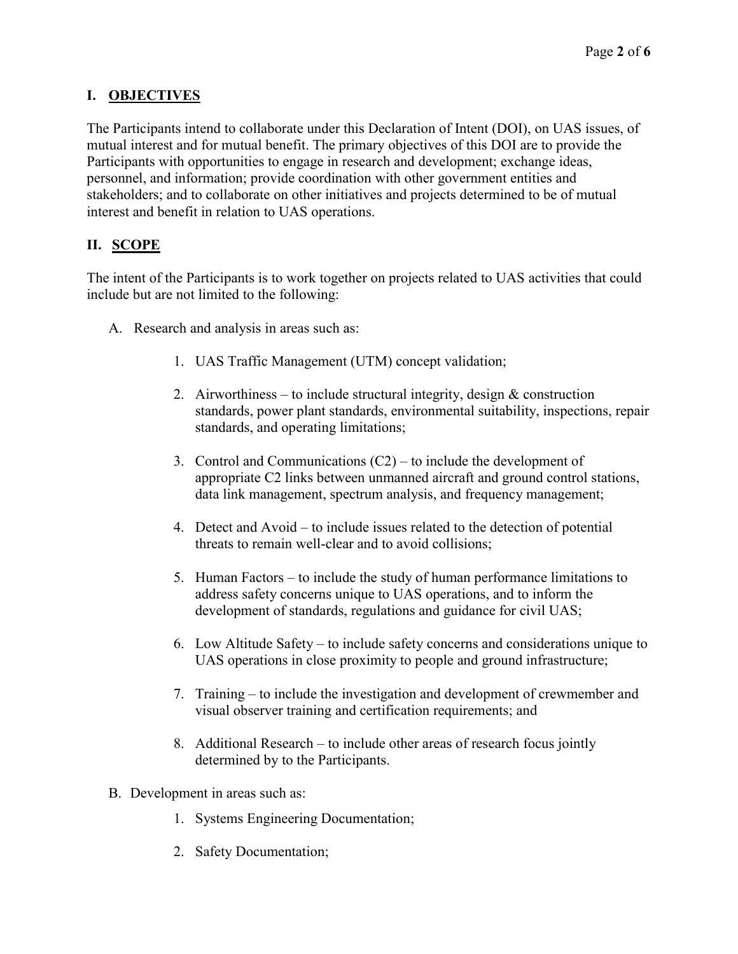## **I. OBJECTIVES**

The Participants intend to collaborate under this Declaration of Intent (DOI), on UAS issues, of mutual interest and for mutual benefit. The primary objectives of this DOI are to provide the Participants with opportunities to engage in research and development; exchange ideas, personnel, and information; provide coordination with other government entities and stakeholders; and to collaborate on other initiatives and projects determined to be of mutual interest and benefit in relation to UAS operations.

## **II. SCOPE**

The intent of the Participants is to work together on projects related to UAS activities that could include but are not limited to the following:

- A. Research and analysis in areas such as:
	- 1. UAS Traffic Management (UTM) concept validation;
	- 2. Airworthiness to include structural integrity, design  $\&$  construction standards, power plant standards, environmental suitability, inspections, repair standards, and operating limitations;
	- 3. Control and Communications  $(C2)$  to include the development of appropriate C2 links between unmanned aircraft and ground control stations, data link management, spectrum analysis, and frequency management;
	- 4. Detect and Avoid to include issues related to the detection of potential threats to remain well-clear and to avoid collisions;
	- 5. Human Factors to include the study of human performance limitations to address safety concerns unique to UAS operations, and to inform the development of standards, regulations and guidance for civil UAS;
	- 6. Low Altitude Safety to include safety concerns and considerations unique to UAS operations in close proximity to people and ground infrastructure;
	- 7. Training to include the investigation and development of crewmember and visual observer training and certification requirements; and
	- 8. Additional Research to include other areas of research focus jointly determined by to the Participants.
- B. Development in areas such as:
	- 1. Systems Engineering Documentation;
	- 2. Safety Documentation;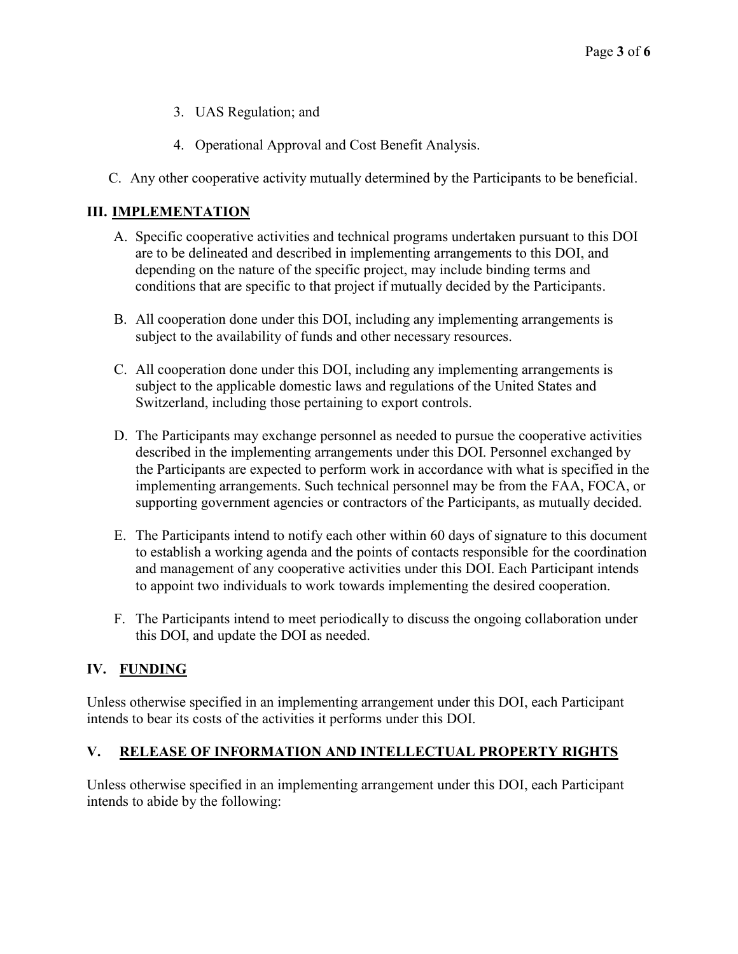- 3. UAS Regulation; and
- 4. Operational Approval and Cost Benefit Analysis.
- C. Any other cooperative activity mutually determined by the Participants to be beneficial.

### **III. IMPLEMENTATION**

- A. Specific cooperative activities and technical programs undertaken pursuant to this DOI are to be delineated and described in implementing arrangements to this DOI, and depending on the nature of the specific project, may include binding terms and conditions that are specific to that project if mutually decided by the Participants.
- B. All cooperation done under this DOI, including any implementing arrangements is subject to the availability of funds and other necessary resources.
- C. All cooperation done under this DOI, including any implementing arrangements is subject to the applicable domestic laws and regulations of the United States and Switzerland, including those pertaining to export controls.
- D. The Participants may exchange personnel as needed to pursue the cooperative activities described in the implementing arrangements under this DOI. Personnel exchanged by the Participants are expected to perform work in accordance with what is specified in the implementing arrangements. Such technical personnel may be from the FAA, FOCA, or supporting government agencies or contractors of the Participants, as mutually decided.
- E. The Participants intend to notify each other within 60 days of signature to this document to establish a working agenda and the points of contacts responsible for the coordination and management of any cooperative activities under this DOI. Each Participant intends to appoint two individuals to work towards implementing the desired cooperation.
- F. The Participants intend to meet periodically to discuss the ongoing collaboration under this DOI, and update the DOI as needed.

## **IV. FUNDING**

Unless otherwise specified in an implementing arrangement under this DOI, each Participant intends to bear its costs of the activities it performs under this DOI.

### **V. RELEASE OF INFORMATION AND INTELLECTUAL PROPERTY RIGHTS**

Unless otherwise specified in an implementing arrangement under this DOI, each Participant intends to abide by the following: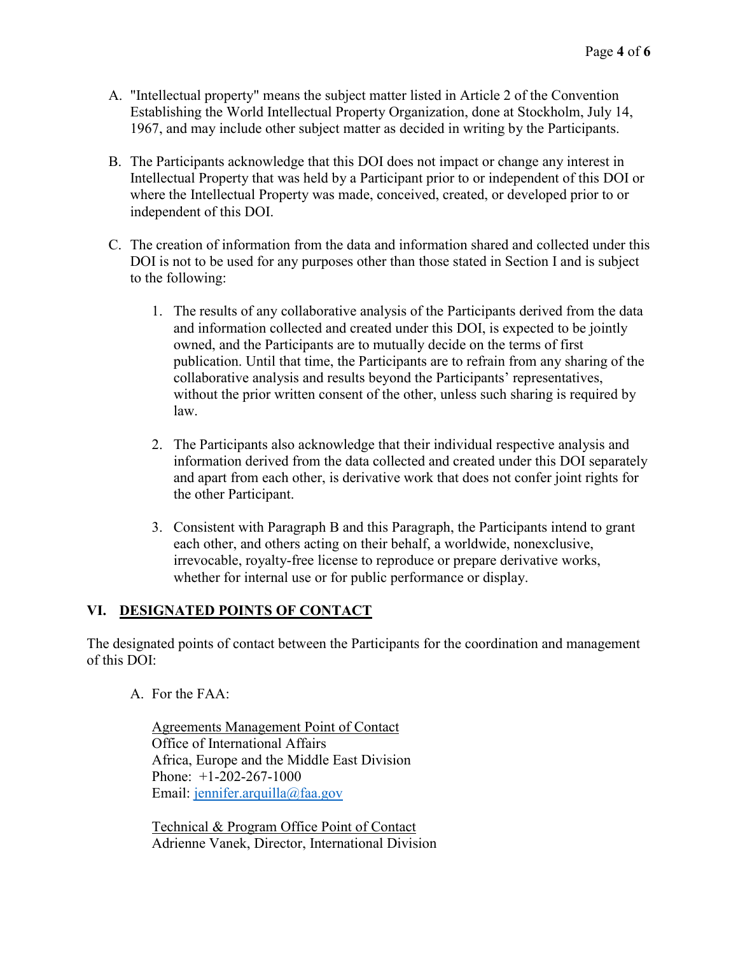- A. "Intellectual property" means the subject matter listed in Article 2 of the Convention Establishing the World Intellectual Property Organization, done at Stockholm, July 14, 1967, and may include other subject matter as decided in writing by the Participants.
- B. The Participants acknowledge that this DOI does not impact or change any interest in Intellectual Property that was held by a Participant prior to or independent of this DOI or where the Intellectual Property was made, conceived, created, or developed prior to or independent of this DOI.
- C. The creation of information from the data and information shared and collected under this DOI is not to be used for any purposes other than those stated in Section I and is subject to the following:
	- 1. The results of any collaborative analysis of the Participants derived from the data and information collected and created under this DOI, is expected to be jointly owned, and the Participants are to mutually decide on the terms of first publication. Until that time, the Participants are to refrain from any sharing of the collaborative analysis and results beyond the Participants' representatives, without the prior written consent of the other, unless such sharing is required by law.
	- 2. The Participants also acknowledge that their individual respective analysis and information derived from the data collected and created under this DOI separately and apart from each other, is derivative work that does not confer joint rights for the other Participant.
	- 3. Consistent with Paragraph B and this Paragraph, the Participants intend to grant each other, and others acting on their behalf, a worldwide, nonexclusive, irrevocable, royalty-free license to reproduce or prepare derivative works, whether for internal use or for public performance or display.

## **VI. DESIGNATED POINTS OF CONTACT**

The designated points of contact between the Participants for the coordination and management of this DOI:

A. For the FAA:

Agreements Management Point of Contact Office of International Affairs Africa, Europe and the Middle East Division Phone: +1-202-267-1000 Email: [jennifer.arquilla@faa.gov](mailto:jennifer.arquilla@faa.gov)

Technical & Program Office Point of Contact Adrienne Vanek, Director, International Division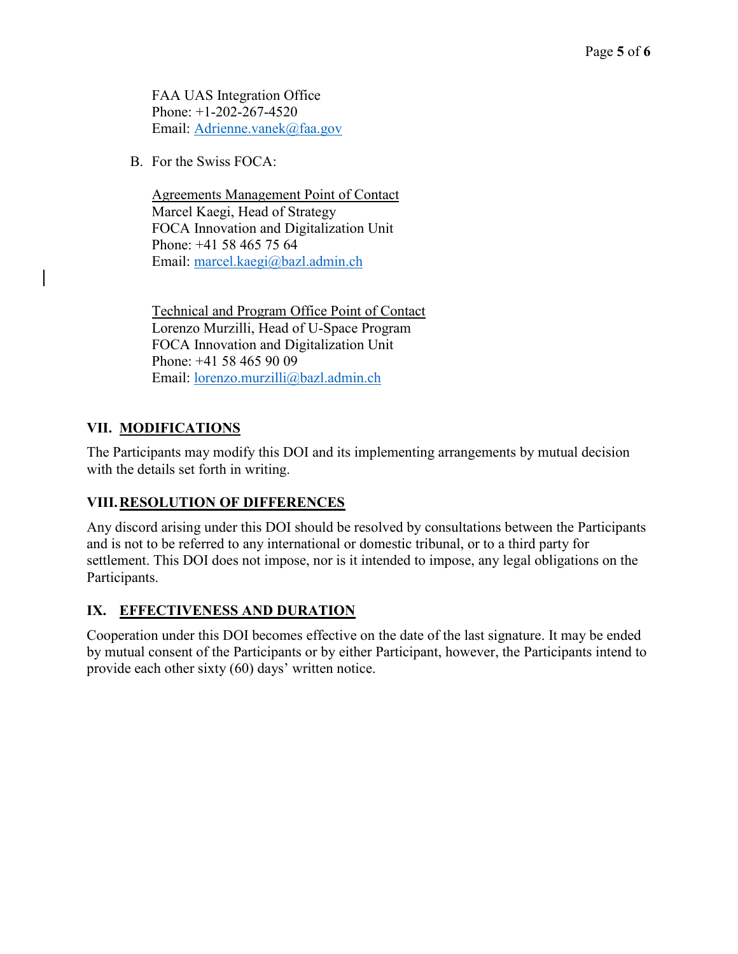FAA UAS Integration Office Phone: +1-202-267-4520 Email: [Adrienne.vanek@faa.gov](mailto:Adrienne.vanek@faa.gov)

B. For the Swiss FOCA:

Agreements Management Point of Contact Marcel Kaegi, Head of Strategy FOCA Innovation and Digitalization Unit Phone: +41 58 465 75 64 Email: [marcel.kaegi@bazl.admin.ch](mailto:marcel.kaegi@bazl.admin.ch)

Technical and Program Office Point of Contact Lorenzo Murzilli, Head of U-Space Program FOCA Innovation and Digitalization Unit Phone: +41 58 465 90 09 Email: [lorenzo.murzilli@bazl.admin.ch](mailto:lorenzo.murzilli@bazl.admin.ch)

# **VII. MODIFICATIONS**

The Participants may modify this DOI and its implementing arrangements by mutual decision with the details set forth in writing.

# **VIII.RESOLUTION OF DIFFERENCES**

Any discord arising under this DOI should be resolved by consultations between the Participants and is not to be referred to any international or domestic tribunal, or to a third party for settlement. This DOI does not impose, nor is it intended to impose, any legal obligations on the Participants.

## **IX. EFFECTIVENESS AND DURATION**

Cooperation under this DOI becomes effective on the date of the last signature. It may be ended by mutual consent of the Participants or by either Participant, however, the Participants intend to provide each other sixty (60) days' written notice.